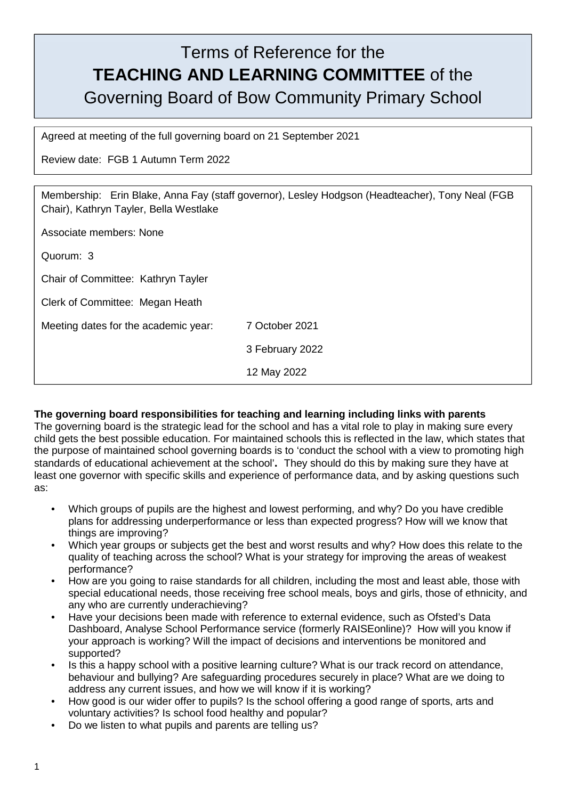# Terms of Reference for the **TEACHING AND LEARNING COMMITTEE** of the Governing Board of Bow Community Primary School

Agreed at meeting of the full governing board on 21 September 2021

Review date: FGB 1 Autumn Term 2022

Membership: Erin Blake, Anna Fay (staff governor), Lesley Hodgson (Headteacher), Tony Neal (FGB Chair), Kathryn Tayler, Bella Westlake

Associate members: None

Quorum: 3

Chair of Committee: Kathryn Tayler

Clerk of Committee: Megan Heath

Meeting dates for the academic year: 7 October 2021

3 February 2022

12 May 2022

# **The governing board responsibilities for teaching and learning including links with parents**

The governing board is the strategic lead for the school and has a vital role to play in making sure every child gets the best possible education. For maintained schools this is reflected in the law, which states that the purpose of maintained school governing boards is to 'conduct the school with a view to promoting high standards of educational achievement at the school'**.** They should do this by making sure they have at least one governor with specific skills and experience of performance data, and by asking questions such as:

- Which groups of pupils are the highest and lowest performing, and why? Do you have credible plans for addressing underperformance or less than expected progress? How will we know that things are improving?
- Which year groups or subjects get the best and worst results and why? How does this relate to the quality of teaching across the school? What is your strategy for improving the areas of weakest performance?
- How are you going to raise standards for all children, including the most and least able, those with special educational needs, those receiving free school meals, boys and girls, those of ethnicity, and any who are currently underachieving?
- Have your decisions been made with reference to external evidence, such as Ofsted's Data Dashboard, Analyse School Performance service (formerly RAISEonline)? How will you know if your approach is working? Will the impact of decisions and interventions be monitored and supported?
- Is this a happy school with a positive learning culture? What is our track record on attendance, behaviour and bullying? Are safeguarding procedures securely in place? What are we doing to address any current issues, and how we will know if it is working?
- How good is our wider offer to pupils? Is the school offering a good range of sports, arts and voluntary activities? Is school food healthy and popular?
- Do we listen to what pupils and parents are telling us?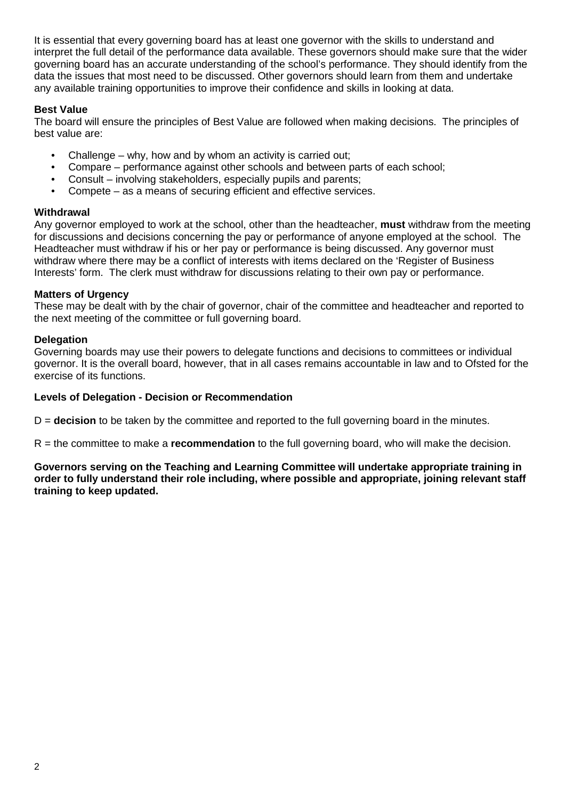It is essential that every governing board has at least one governor with the skills to understand and interpret the full detail of the performance data available. These governors should make sure that the wider governing board has an accurate understanding of the school's performance. They should identify from the data the issues that most need to be discussed. Other governors should learn from them and undertake any available training opportunities to improve their confidence and skills in looking at data.

# **Best Value**

The board will ensure the principles of Best Value are followed when making decisions. The principles of best value are:

- Challenge why, how and by whom an activity is carried out;
- Compare performance against other schools and between parts of each school;
- Consult involving stakeholders, especially pupils and parents;
- Compete as a means of securing efficient and effective services.

# **Withdrawal**

Any governor employed to work at the school, other than the headteacher, **must** withdraw from the meeting for discussions and decisions concerning the pay or performance of anyone employed at the school. The Headteacher must withdraw if his or her pay or performance is being discussed. Any governor must withdraw where there may be a conflict of interests with items declared on the 'Register of Business Interests' form. The clerk must withdraw for discussions relating to their own pay or performance.

# **Matters of Urgency**

These may be dealt with by the chair of governor, chair of the committee and headteacher and reported to the next meeting of the committee or full governing board.

# **Delegation**

Governing boards may use their powers to delegate functions and decisions to committees or individual governor. It is the overall board, however, that in all cases remains accountable in law and to Ofsted for the exercise of its functions.

### **Levels of Delegation - Decision or Recommendation**

D = **decision** to be taken by the committee and reported to the full governing board in the minutes.

R = the committee to make a **recommendation** to the full governing board, who will make the decision.

**Governors serving on the Teaching and Learning Committee will undertake appropriate training in order to fully understand their role including, where possible and appropriate, joining relevant staff training to keep updated.**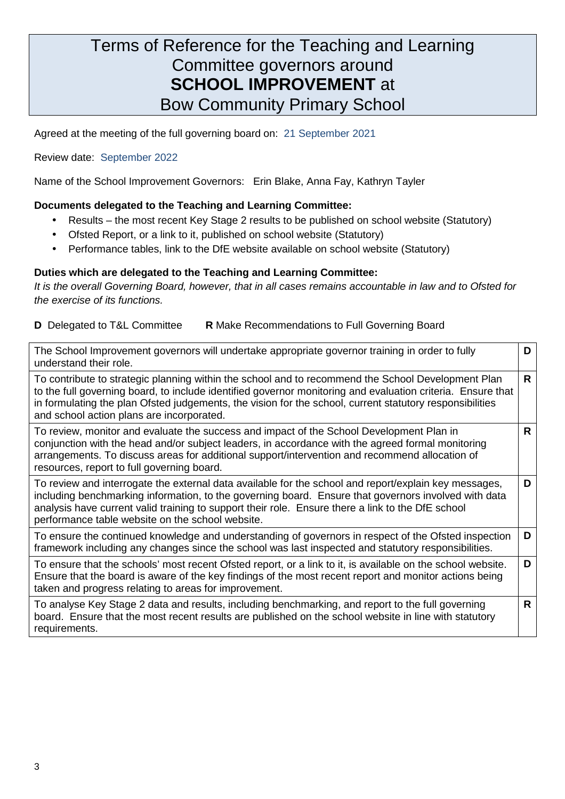# Terms of Reference for the Teaching and Learning Committee governors around **SCHOOL IMPROVEMENT** at Bow Community Primary School

Agreed at the meeting of the full governing board on:21 September 2021

### Review date: September 2022

Name of the School Improvement Governors: Erin Blake, Anna Fay, Kathryn Tayler

# **Documents delegated to the Teaching and Learning Committee:**

- Results the most recent Key Stage 2 results to be published on school website (Statutory)
- Ofsted Report, or a link to it, published on school website (Statutory)
- Performance tables, link to the DfE website available on school website (Statutory)

# **Duties which are delegated to the Teaching and Learning Committee:**

It is the overall Governing Board, however, that in all cases remains accountable in law and to Ofsted for the exercise of its functions.

# **D** Delegated to T&L Committee **R** Make Recommendations to Full Governing Board

| The School Improvement governors will undertake appropriate governor training in order to fully<br>understand their role.                                                                                                                                                                                                                                                  | D  |
|----------------------------------------------------------------------------------------------------------------------------------------------------------------------------------------------------------------------------------------------------------------------------------------------------------------------------------------------------------------------------|----|
| To contribute to strategic planning within the school and to recommend the School Development Plan<br>to the full governing board, to include identified governor monitoring and evaluation criteria. Ensure that<br>in formulating the plan Ofsted judgements, the vision for the school, current statutory responsibilities<br>and school action plans are incorporated. | R  |
| To review, monitor and evaluate the success and impact of the School Development Plan in<br>conjunction with the head and/or subject leaders, in accordance with the agreed formal monitoring<br>arrangements. To discuss areas for additional support/intervention and recommend allocation of<br>resources, report to full governing board.                              | R. |
| To review and interrogate the external data available for the school and report/explain key messages,<br>including benchmarking information, to the governing board. Ensure that governors involved with data<br>analysis have current valid training to support their role. Ensure there a link to the DfE school<br>performance table website on the school website.     | D  |
| To ensure the continued knowledge and understanding of governors in respect of the Ofsted inspection<br>framework including any changes since the school was last inspected and statutory responsibilities.                                                                                                                                                                | D  |
| To ensure that the schools' most recent Ofsted report, or a link to it, is available on the school website.<br>Ensure that the board is aware of the key findings of the most recent report and monitor actions being<br>taken and progress relating to areas for improvement.                                                                                             | D  |
| To analyse Key Stage 2 data and results, including benchmarking, and report to the full governing<br>board. Ensure that the most recent results are published on the school website in line with statutory<br>requirements.                                                                                                                                                | R  |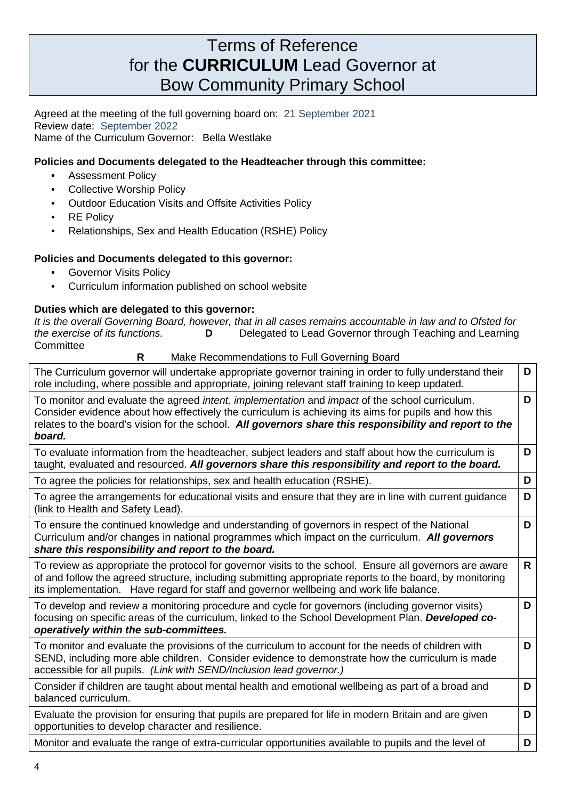# Terms of Reference for the **CURRICULUM** Lead Governor at Bow Community Primary School

Agreed at the meeting of the full governing board on:21 September 2021 Review date: September 2022 Name of the Curriculum Governor: Bella Westlake

# **Policies and Documents delegated to the Headteacher through this committee:**

- Assessment Policy
- Collective Worship Policy
- Outdoor Education Visits and Offsite Activities Policy
- RE Policy
- Relationships, Sex and Health Education (RSHE) Policy

### **Policies and Documents delegated to this governor:**

- Governor Visits Policy
- Curriculum information published on school website

# **Duties which are delegated to this governor:**

It is the overall Governing Board, however, that in all cases remains accountable in law and to Ofsted for the exercise of its functions. **D** Delegated to Lead Governor through Teaching and Learning **Committee** 

#### **R** Make Recommendations to Full Governing Board

| The Curriculum governor will undertake appropriate governor training in order to fully understand their<br>role including, where possible and appropriate, joining relevant staff training to keep updated.                                                                                                                 | D            |
|-----------------------------------------------------------------------------------------------------------------------------------------------------------------------------------------------------------------------------------------------------------------------------------------------------------------------------|--------------|
| To monitor and evaluate the agreed intent, implementation and impact of the school curriculum.<br>Consider evidence about how effectively the curriculum is achieving its aims for pupils and how this<br>relates to the board's vision for the school. All governors share this responsibility and report to the<br>board. | D            |
| To evaluate information from the headteacher, subject leaders and staff about how the curriculum is<br>taught, evaluated and resourced. All governors share this responsibility and report to the board.                                                                                                                    | D            |
| To agree the policies for relationships, sex and health education (RSHE).                                                                                                                                                                                                                                                   | D            |
| To agree the arrangements for educational visits and ensure that they are in line with current guidance<br>(link to Health and Safety Lead).                                                                                                                                                                                | D            |
| To ensure the continued knowledge and understanding of governors in respect of the National<br>Curriculum and/or changes in national programmes which impact on the curriculum. All governors<br>share this responsibility and report to the board.                                                                         | D            |
| To review as appropriate the protocol for governor visits to the school. Ensure all governors are aware<br>of and follow the agreed structure, including submitting appropriate reports to the board, by monitoring<br>its implementation. Have regard for staff and governor wellbeing and work life balance.              | $\mathsf{R}$ |
| To develop and review a monitoring procedure and cycle for governors (including governor visits)<br>focusing on specific areas of the curriculum, linked to the School Development Plan. Developed co-<br>operatively within the sub-committees.                                                                            | D            |
| To monitor and evaluate the provisions of the curriculum to account for the needs of children with<br>SEND, including more able children. Consider evidence to demonstrate how the curriculum is made<br>accessible for all pupils. (Link with SEND/Inclusion lead governor.)                                               | D            |
| Consider if children are taught about mental health and emotional wellbeing as part of a broad and<br>balanced curriculum.                                                                                                                                                                                                  | D            |
| Evaluate the provision for ensuring that pupils are prepared for life in modern Britain and are given<br>opportunities to develop character and resilience.                                                                                                                                                                 | D            |
| Monitor and evaluate the range of extra-curricular opportunities available to pupils and the level of                                                                                                                                                                                                                       | D            |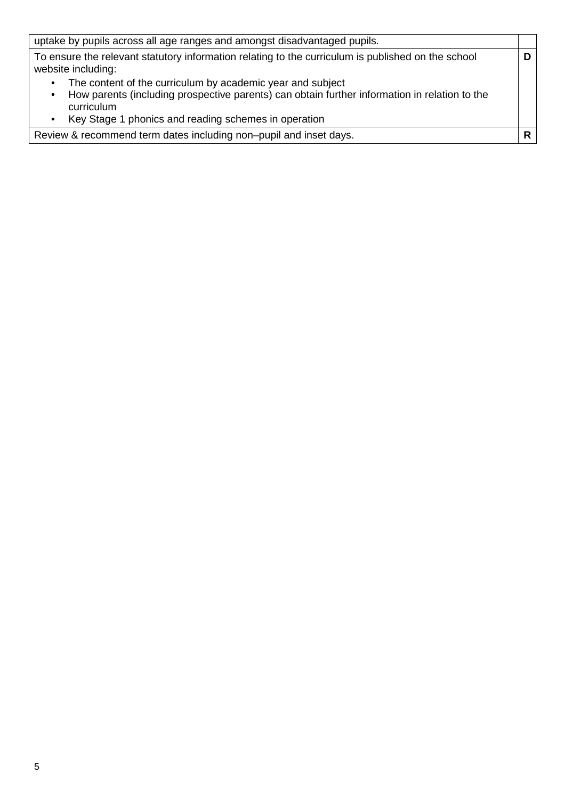| uptake by pupils across all age ranges and amongst disadvantaged pupils.                                                                                                                                                               |  |
|----------------------------------------------------------------------------------------------------------------------------------------------------------------------------------------------------------------------------------------|--|
| To ensure the relevant statutory information relating to the curriculum is published on the school<br>website including:                                                                                                               |  |
| The content of the curriculum by academic year and subject<br>٠<br>How parents (including prospective parents) can obtain further information in relation to the<br>curriculum<br>Key Stage 1 phonics and reading schemes in operation |  |
| Review & recommend term dates including non-pupil and inset days.                                                                                                                                                                      |  |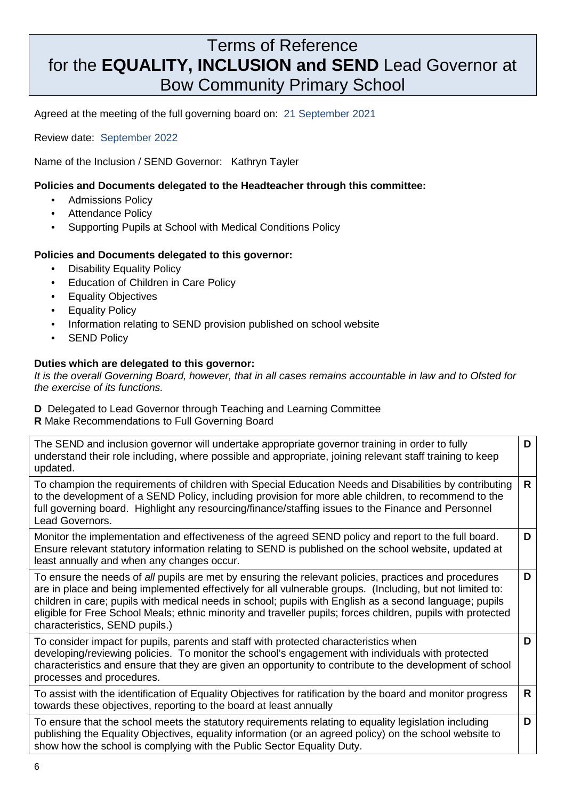# Terms of Reference for the **EQUALITY, INCLUSION and SEND** Lead Governor at Bow Community Primary School

Agreed at the meeting of the full governing board on:21 September 2021

Review date: September 2022

Name of the Inclusion / SEND Governor: Kathryn Tayler

# **Policies and Documents delegated to the Headteacher through this committee:**

- Admissions Policy
- **Attendance Policy**
- Supporting Pupils at School with Medical Conditions Policy

### **Policies and Documents delegated to this governor:**

- Disability Equality Policy
- Education of Children in Care Policy
- Equality Objectives
- Equality Policy
- Information relating to SEND provision published on school website
- SEND Policy

### **Duties which are delegated to this governor:**

It is the overall Governing Board, however, that in all cases remains accountable in law and to Ofsted for the exercise of its functions.

**D** Delegated to Lead Governor through Teaching and Learning Committee

**R** Make Recommendations to Full Governing Board

| The SEND and inclusion governor will undertake appropriate governor training in order to fully<br>understand their role including, where possible and appropriate, joining relevant staff training to keep<br>updated.                                                                                                                                                                                                                                                          | D  |
|---------------------------------------------------------------------------------------------------------------------------------------------------------------------------------------------------------------------------------------------------------------------------------------------------------------------------------------------------------------------------------------------------------------------------------------------------------------------------------|----|
| To champion the requirements of children with Special Education Needs and Disabilities by contributing<br>to the development of a SEND Policy, including provision for more able children, to recommend to the<br>full governing board. Highlight any resourcing/finance/staffing issues to the Finance and Personnel<br>Lead Governors.                                                                                                                                        | R. |
| Monitor the implementation and effectiveness of the agreed SEND policy and report to the full board.<br>Ensure relevant statutory information relating to SEND is published on the school website, updated at<br>least annually and when any changes occur.                                                                                                                                                                                                                     | D  |
| To ensure the needs of all pupils are met by ensuring the relevant policies, practices and procedures<br>are in place and being implemented effectively for all vulnerable groups. (Including, but not limited to:<br>children in care; pupils with medical needs in school; pupils with English as a second language; pupils<br>eligible for Free School Meals; ethnic minority and traveller pupils; forces children, pupils with protected<br>characteristics, SEND pupils.) | D  |
| To consider impact for pupils, parents and staff with protected characteristics when<br>developing/reviewing policies. To monitor the school's engagement with individuals with protected<br>characteristics and ensure that they are given an opportunity to contribute to the development of school<br>processes and procedures.                                                                                                                                              | D  |
| To assist with the identification of Equality Objectives for ratification by the board and monitor progress<br>towards these objectives, reporting to the board at least annually                                                                                                                                                                                                                                                                                               | R  |
| To ensure that the school meets the statutory requirements relating to equality legislation including<br>publishing the Equality Objectives, equality information (or an agreed policy) on the school website to<br>show how the school is complying with the Public Sector Equality Duty.                                                                                                                                                                                      | D  |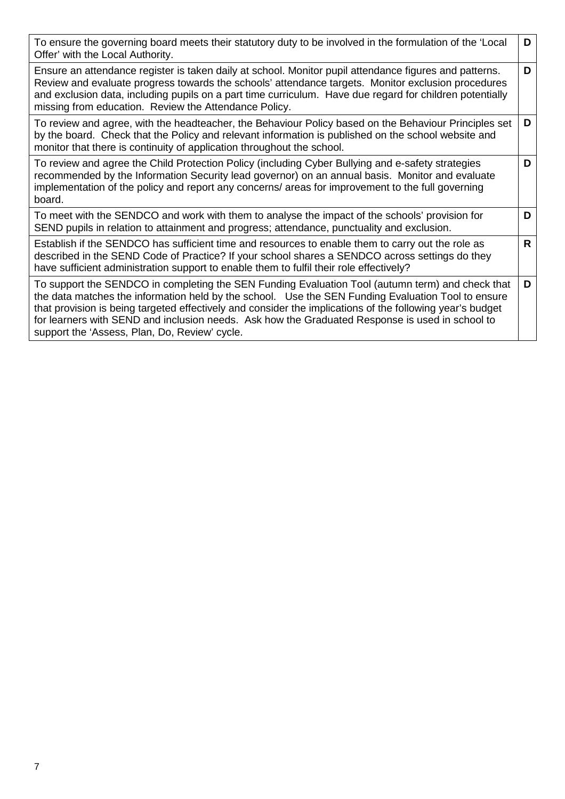| To ensure the governing board meets their statutory duty to be involved in the formulation of the 'Local<br>Offer' with the Local Authority.                                                                                                                                                                                                                                                                                                                            | D  |
|-------------------------------------------------------------------------------------------------------------------------------------------------------------------------------------------------------------------------------------------------------------------------------------------------------------------------------------------------------------------------------------------------------------------------------------------------------------------------|----|
| Ensure an attendance register is taken daily at school. Monitor pupil attendance figures and patterns.<br>Review and evaluate progress towards the schools' attendance targets. Monitor exclusion procedures<br>and exclusion data, including pupils on a part time curriculum. Have due regard for children potentially<br>missing from education. Review the Attendance Policy.                                                                                       | D  |
| To review and agree, with the headteacher, the Behaviour Policy based on the Behaviour Principles set<br>by the board. Check that the Policy and relevant information is published on the school website and<br>monitor that there is continuity of application throughout the school.                                                                                                                                                                                  | D. |
| To review and agree the Child Protection Policy (including Cyber Bullying and e-safety strategies<br>recommended by the Information Security lead governor) on an annual basis. Monitor and evaluate<br>implementation of the policy and report any concerns/ areas for improvement to the full governing<br>board.                                                                                                                                                     | D  |
| To meet with the SENDCO and work with them to analyse the impact of the schools' provision for<br>SEND pupils in relation to attainment and progress; attendance, punctuality and exclusion.                                                                                                                                                                                                                                                                            | D. |
| Establish if the SENDCO has sufficient time and resources to enable them to carry out the role as<br>described in the SEND Code of Practice? If your school shares a SENDCO across settings do they<br>have sufficient administration support to enable them to fulfil their role effectively?                                                                                                                                                                          | R. |
| To support the SENDCO in completing the SEN Funding Evaluation Tool (autumn term) and check that<br>the data matches the information held by the school. Use the SEN Funding Evaluation Tool to ensure<br>that provision is being targeted effectively and consider the implications of the following year's budget<br>for learners with SEND and inclusion needs. Ask how the Graduated Response is used in school to<br>support the 'Assess, Plan, Do, Review' cycle. | D  |